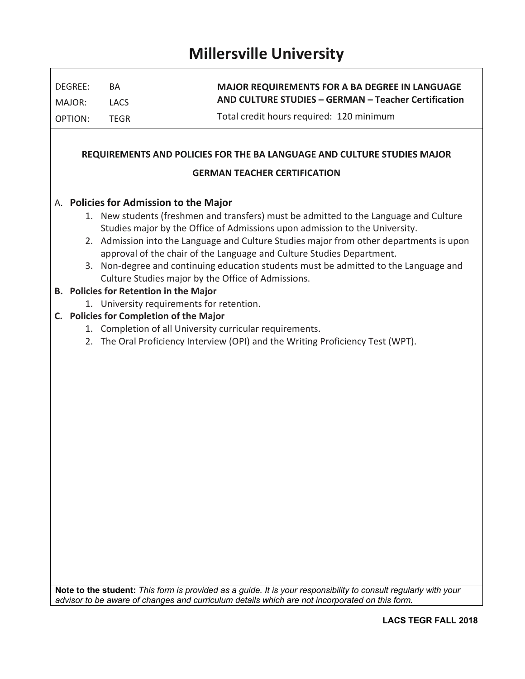# **Millersville University**

| DEGREE:                  | BA                                      | <b>MAJOR REQUIREMENTS FOR A BA DEGREE IN LANGUAGE</b><br>AND CULTURE STUDIES - GERMAN - Teacher Certification                                                                                                     |
|--------------------------|-----------------------------------------|-------------------------------------------------------------------------------------------------------------------------------------------------------------------------------------------------------------------|
| MAJOR:<br><b>OPTION:</b> | <b>LACS</b><br><b>TEGR</b>              | Total credit hours required: 120 minimum                                                                                                                                                                          |
|                          |                                         |                                                                                                                                                                                                                   |
|                          |                                         | REQUIREMENTS AND POLICIES FOR THE BA LANGUAGE AND CULTURE STUDIES MAJOR                                                                                                                                           |
|                          |                                         | <b>GERMAN TEACHER CERTIFICATION</b>                                                                                                                                                                               |
|                          | A. Policies for Admission to the Major  |                                                                                                                                                                                                                   |
|                          |                                         | 1. New students (freshmen and transfers) must be admitted to the Language and Culture                                                                                                                             |
|                          |                                         | Studies major by the Office of Admissions upon admission to the University.<br>2. Admission into the Language and Culture Studies major from other departments is upon                                            |
|                          |                                         | approval of the chair of the Language and Culture Studies Department.                                                                                                                                             |
|                          |                                         | 3. Non-degree and continuing education students must be admitted to the Language and                                                                                                                              |
|                          |                                         | Culture Studies major by the Office of Admissions.                                                                                                                                                                |
|                          | B. Policies for Retention in the Major  |                                                                                                                                                                                                                   |
|                          | C. Policies for Completion of the Major | 1. University requirements for retention.                                                                                                                                                                         |
|                          |                                         | 1. Completion of all University curricular requirements.                                                                                                                                                          |
|                          |                                         | 2. The Oral Proficiency Interview (OPI) and the Writing Proficiency Test (WPT).                                                                                                                                   |
|                          |                                         |                                                                                                                                                                                                                   |
|                          |                                         |                                                                                                                                                                                                                   |
|                          |                                         |                                                                                                                                                                                                                   |
|                          |                                         |                                                                                                                                                                                                                   |
|                          |                                         |                                                                                                                                                                                                                   |
|                          |                                         |                                                                                                                                                                                                                   |
|                          |                                         |                                                                                                                                                                                                                   |
|                          |                                         |                                                                                                                                                                                                                   |
|                          |                                         |                                                                                                                                                                                                                   |
|                          |                                         |                                                                                                                                                                                                                   |
|                          |                                         |                                                                                                                                                                                                                   |
|                          |                                         |                                                                                                                                                                                                                   |
|                          |                                         |                                                                                                                                                                                                                   |
|                          |                                         |                                                                                                                                                                                                                   |
|                          |                                         |                                                                                                                                                                                                                   |
|                          |                                         |                                                                                                                                                                                                                   |
|                          |                                         |                                                                                                                                                                                                                   |
|                          |                                         |                                                                                                                                                                                                                   |
|                          |                                         | Note to the student: This form is provided as a guide. It is your responsibility to consult regularly with your<br>advisor to be aware of changes and curriculum details which are not incorporated on this form. |